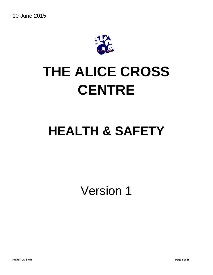

# **THE ALICE CROSS CENTRE**

# **HEALTH & SAFETY**

Version 1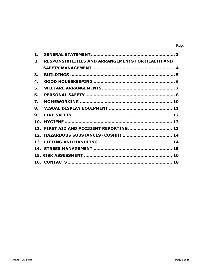#### Page

| 1.  |                                                         |  |
|-----|---------------------------------------------------------|--|
| 2.  | <b>RESPONSIBILITIES AND ARRANGEMENTS FOR HEALTH AND</b> |  |
|     |                                                         |  |
| 3.  |                                                         |  |
| 4.  |                                                         |  |
| 5.  |                                                         |  |
| 6.  |                                                         |  |
| 7.  |                                                         |  |
| 8.  |                                                         |  |
| 9.  |                                                         |  |
| 10. |                                                         |  |
|     | 11. FIRST AID AND ACCIDENT REPORTING 13                 |  |
|     |                                                         |  |
|     |                                                         |  |
|     |                                                         |  |
|     |                                                         |  |
|     |                                                         |  |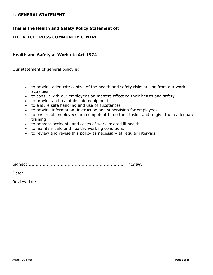#### **1. GENERAL STATEMENT**

# **This is the Health and Safety Policy Statement of:**

# **THE ALICE CROSS COMMUNITY CENTRE**

#### **Health and Safety at Work etc Act 1974**

Our statement of general policy is:

- to provide adequate control of the health and safety risks arising from our work activities
- to consult with our employees on matters affecting their health and safety
- to provide and maintain safe equipment
- to ensure safe handling and use of substances
- to provide information, instruction and supervision for employees
- to ensure all employees are competent to do their tasks, and to give them adequate training
- to prevent accidents and cases of work-related ill health
- to maintain safe and healthy working conditions
- to review and revise this policy as necessary at regular intervals.

| (Chair <sup>-</sup> |  |
|---------------------|--|

Date:..........................................

Review date:…………………………….…….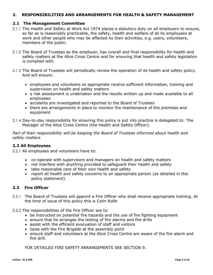# **2. RESPONSIBILITIES AND ARRANGEMENTS FOR HEALTH & SAFETY MANAGEMENT**

#### **2.1 The Management Committee**

- 2.1.1 The Health and Safety at Work Act 1974 places a statutory duty on all employers to ensure, so far as is reasonably practicable, the safety, health and welfare of all its employees at work and other people who may be affected by their activities, e.g. users, volunteers, members of the public.
- 2.1.2 The Board of Trustees as the employer, has overall and final responsibility for health and safety matters at the Alice Cross Centre and for ensuring that health and safety legislation is complied with.
- 2.1.3 The Board of Trustees will periodically review the operation of its health and safety policy. And will ensure:
	- employees and volunteers as appropriate receive sufficient information, training and supervision on health and safety matters
	- a risk assessment is undertaken and the results written up and made available to all employees
	- accidents are investigated and reported to the Board of Trustees
	- there are arrangements in place to monitor the maintenance of the premises and equipment
- 2.1.4 Day-to-day responsibility for ensuring this policy is put into practice is delegated to: The Manager of the Alice Cross Centre (the Health and Safety Officer).

*Part of their responsibility will be keeping the Board of Trustees informed about health and safety matters*

#### **2.2 All Employees**

2.2.1 All employees and volunteers have to:

- co-operate with supervisors and managers on health and safety matters
- not interfere with anything provided to safeguard their health and safety
- take reasonable care of their own health and safety
- report all health and safety concerns to an appropriate person (as detailed in this policy statement).

#### **2.3 Fire Officer**

- 2.3.1 The Board of Trustees will appoint a Fire Officer who shall receive appropriate training. At the time of issue of this policy this is Colin Rolfe
- 2.3.2 The responsibilities of the Fire Officer are to:
	- be instructed on potential fire hazards and the use of fire fighting equipment
	- ensure that he arranges the testing of fire alarms and fire drills
	- assist with the efficient evacuation of staff and visitors
	- liaise with the Fire Brigade at the assembly point
	- ensure staff and volunteers at the Alice Cross Centre are aware of the fire alarm and fire drill.

FOR DETAILED FIRE SAFETY ARRANGEMENTS SEE SECTION 9.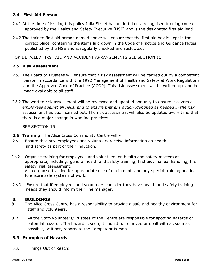# **2.4 First Aid Person**

- 2.4.1 At the time of issuing this policy Julia Street has undertaken a recognised training course approved by the Health and Safety Executive (HSE) and is the designated first aid lead
- 2.4.2 The trained first aid person named above will ensure that the first aid box is kept in the correct place, containing the items laid down in the Code of Practice and Guidance Notes published by the HSE and is regularly checked and restocked.

FOR DETAILED FIRST AID AND ACCIDENT ARRANGEMENTS SEE SECTION 11.

# **2.5 Risk Assessment**

- 2.5.1 The Board of Trustees will ensure that a risk assessment will be carried out by a competent person in accordance with the 1992 Management of Health and Safety at Work Regulations and the Approved Code of Practice (ACOP). This risk assessment will be written up, and be made available to all staff.
- 2.5.2 The written risk assessment will be reviewed and updated annually to ensure it covers all *employees against all risks, and to ensure that any action identified as needed in the risk* assessment has been carried out. The risk assessment will also be updated every time that there is a major change in working practices.

SEE SECTION 15

- **2.6 Training** The Alice Cross Community Centre will:-
- 2.6.1 Ensure that new employees and volunteers receive information on health and safety as part of their induction.
- 2.6.2 Organise training for employees and volunteers on health and safety matters as appropriate, including: general health and safety training, first aid, manual handling, fire safety, risk assessment. Also organise training for appropriate use of equipment, and any special training needed to ensure safe systems of work.
- 2.6.3 Ensure that if employees and volunteers consider they have health and safety training needs they should inform their line manager.

# **3. BUILDINGS**

- **3.1** The Alice Cross Centre has a responsibility to provide a safe and healthy environment for staff and volunteers.
- **3.2** All the Staff/Volunteers/Trustees of the Centre are responsible for spotting hazards or potential hazards. If a hazard is seen, it should be removed or dealt with as soon as possible, or if not, reports to the Competent Person.

# **3.3 Examples of Hazards**

3.3.1 Things Out of Reach: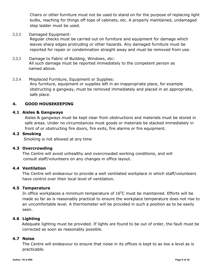Chairs or other furniture must not be used to stand on for the purpose of replacing light bulbs, reaching for things off tope of cabinets, etc. A properly maintained, undamaged step ladder must be used.

3.3.2 Damaged Equipment:

Regular checks must be carried out on furniture and equipment for damage which leaves sharp edges protruding or other hazards. Any damaged furniture must be reported for repair or condemnation straight away and must be removed from use.

- 3.3.3 Damage to Fabric of Building, Windows, etc: All such damage must be reported immediately to the competent person as named above.
- 3.3.4 Misplaced Furniture, Equipment or Supplies: Any furniture, equipment or supplies left in an inappropriate place, for example obstructing a gangway, must be removed immediately and placed in an appropriate, safe place.

#### **4. GOOD HOUSEKEEPING**

#### **4.1 Aisles & Gangways**

Aisles & gangways must be kept clear from obstructions and materials must be stored in safe areas. Under no circumstances must goods or materials be stacked immediately in front of or obstructing fire doors, fire exits, fire alarms or fire equipment.

#### **4.2 Smoking**

Smoking is not allowed at any time

#### **4.3 Overcrowding**

The Centre will avoid unhealthy and overcrowded working conditions, and will consult staff/volunteers on any changes in office layout.

#### **4.4 Ventilation**

The Centre will endeavour to provide a well ventilated workplace in which staff/volunteers have control over their local level of ventilation.

#### **4.5 Temperature**

In office workplaces a minimum temperature of  $16^{\circ}$ C must be maintained. Efforts will be made so far as is reasonably practical to ensure the workplace temperature does not rise to an uncomfortable level. A thermometer will be provided in such a position as to be easily seen.

#### **4.6 Lighting**

 Adequate lighting must be provided. If lights are found to be out of order, the fault must be corrected as soon as reasonably possible.

#### **4.7 Noise**

The Centre will endeavour to ensure that noise in its offices is kept to as low a level as is practicable.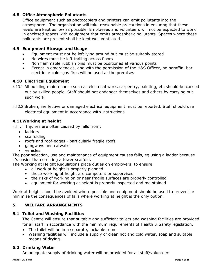# **4.8 Office Atmospheric Pollutants**

Office equipment such as photocopiers and printers can emit pollutants into the atmosphere. The organisation will take reasonable precautions in ensuring that these levels are kept as low as possible. Employees and volunteers will not be expected to work in enclosed spaces with equipment that emits atmospheric pollutants. Spaces where these pollutants are present shall be kept well ventilated.

# **4.9 Equipment Storage and Usage**

- Equipment must not be left lying around but must be suitably stored
- No wires must be left trailing across floors
- Non flammable rubbish bins must be positioned at various points
- Except in emergencies, and with the permission of the H&S Officer, no paraffin, bar electric or calor gas fires will be used at the premises

# **4.10 Electrical Equipment**

- 4.10.1 All building maintenance such as electrical work, carpentry, painting, etc should be carried out by skilled people. Staff should not endanger themselves and others by carrying out such work.
- 4.10.2 Broken, ineffective or damaged electrical equipment must be reported. Staff should use electrical equipment in accordance with instructions.

# **4.11Working at height**

4.11.1 Injuries are often caused by falls from:

- ladders
- scaffolding
- roofs and roof-edges particularly fragile roofs
- gangways and catwalks
- vehicles

The poor selection, use and maintenance of equipment causes falls, eg using a ladder because it's easier than erecting a tower scaffold.

The Working at Height Regulations place duties on employers, to ensure:

- all work at height is properly planned
- those working at height are competent or supervised
- the risks of working on or near fragile surfaces are properly controlled
- equipment for working at height is properly inspected and maintained

Work at height should be avoided where possible and equipment should be used to prevent or minimise the consequences of falls where working at height is the only option.

# **5. WELFARE ARRANGEMENTS**

# **5.1 Toilet and Washing Facilities**

The Centre will ensure that suitable and sufficient toilets and washing facilities are provided for all staff in accordance with the minimum requirements of Health & Safety legislation.

- The toilet will be in a separate, lockable room
- Washing facilities will include a supply of clean hot and cold water, soap and suitable means of drying.

# **5.2 Drinking Water**

An adequate supply of drinking water will be provided for all staff/volunteers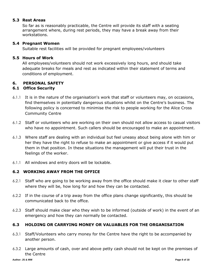#### **5.3 Rest Areas**

So far as is reasonably practicable, the Centre will provide its staff with a seating arrangement where, during rest periods, they may have a break away from their workstations.

#### **5.4 Pregnant Women**

Suitable rest facilities will be provided for pregnant employees/volunteers

#### **5.5 Hours of Work**

All employees/volunteers should not work excessively long hours, and should take adequate breaks for meals and rest as indicated within their statement of terms and conditions of employment.

# **6. PERSONAL SAFETY**

# **6.1 Office Security**

- 6.1.1 It is in the nature of the organisation's work that staff or volunteers may, on occasions, find themselves in potentially dangerous situations whilst on the Centre's business. The following policy is concerned to minimise the risk to people working for the Alice Cross Community Centre
- 6.1.2 Staff or volunteers who are working on their own should not allow access to casual visitors who have no appointment. Such callers should be encouraged to make an appointment.
- 6.1.3 Where staff are dealing with an individual but feel uneasy about being alone with him or her they have the right to refuse to make an appointment or give access if it would put them in that position. In these situations the management will put their trust in the feelings of the worker.
- 6.1.1 All windows and entry doors will be lockable.

# **6.2 WORKING AWAY FROM THE OFFICE**

- 6.2.1 Staff who are going to be working away from the office should make it clear to other staff where they will be, how long for and how they can be contacted.
- 6.2.2 If in the course of a trip away from the office plans change significantly, this should be communicated back to the office.
- 6.2.3 Staff should make clear who they wish to be informed (outside of work) in the event of an emergency and how they can normally be contacted.

# **6.3 HOLDING OR CARRYING MONEY OR VALUABLES FOR THE ORGANISATION**

- 6.3.1 Staff/Volunteers who carry money for the Centre have the right to be accompanied by another person.
- 6.3.2 Large amounts of cash, over and above petty cash should not be kept on the premises of the Centre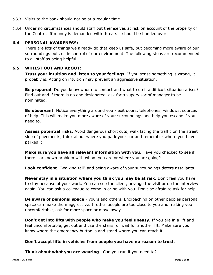- 6.3.3 Visits to the bank should not be at a regular time.
- 6.3.4 Under no circumstances should staff put themselves at risk on account of the property of the Centre. If money is demanded with threats it should be handed over.

# **6.4 PERSONAL AWARENESS:**

There are lots of things we already do that keep us safe, but becoming more aware of our surroundings puts us in control of our environment. The following steps are recommended to all staff as being helpful.

#### **6.5 WHILST OUT AND ABOUT:**

**Trust your intuition and listen to your feelings**. If you sense something is wrong, it probably is. Acting on intuition may prevent an aggressive situation.

**Be prepared**. Do you know whom to contact and what to do if a difficult situation arises? Find out and if there is no one designated, ask for a supervisor of manager to be nominated.

**Be observant**. Notice everything around you - exit doors, telephones, windows, sources of help. This will make you more aware of your surroundings and help you escape if you need to.

**Assess potential risks**. Avoid dangerous short cuts, walk facing the traffic on the street side of pavements, think about where you park your car and remember where you have parked it.

**Make sure you have all relevant information with you**. Have you checked to see if there is a known problem with whom you are or where you are going?

**Look confident.** "Walking tall" and being aware of your surroundings deters assailants.

**Never stay in a situation where you think you may be at risk.** Don't feel you have to stay because of your work. You can see the client, arrange the visit or do the interview again. You can ask a colleague to come in or be with you. Don't be afraid to ask for help.

**Be aware of personal space** - yours and others. Encroaching on other peoples personal space can make them aggressive. If other people are too close to you and making you uncomfortable, ask for more space or move away.

**Don't get into lifts with people who make you feel uneasy.** If you are in a lift and feel uncomfortable, get out and use the stairs, or wait for another lift. Make sure you know where the emergency button is and stand where you can reach it.

#### **Don't accept lifts in vehicles from people you have no reason to trust.**

**Think about what you are wearing**. Can you run if you need to?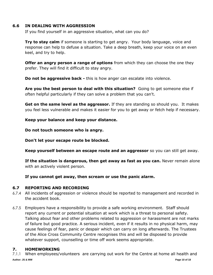#### **6.6 IN DEALING WITH AGGRESSION**

If you find yourself in an aggressive situation, what can you do?

**Try to stay calm** if someone is starting to get angry. Your body language, voice and response can help to defuse a situation. Take a deep breath, keep your voice on an even keel, and try to help.

**Offer an angry person a range of options** from which they can choose the one they prefer. They will find it difficult to stay angry.

**Do not be aggressive back -** this is how anger can escalate into violence.

**Are you the best person to deal with this situation?** Going to get someone else if often helpful particularly if they can solve a problem that you can't.

**Get on the same level as the aggressor.** If they are standing so should you. It makes you feel less vulnerable and makes it easier for you to get away or fetch help if necessary.

**Keep your balance and keep your distance.**

**Do not touch someone who is angry.**

**Don't let your escape route be blocked.**

**Keep yourself between an escape route and an aggressor** so you can still get away.

**If the situation is dangerous, then get away as fast as you can.** Never remain alone with an actively violent person.

**If you cannot get away, then scream or use the panic alarm.**

# **6.7 REPORTING AND RECORDING**

- 6.7.4 All incidents of aggression or violence should be reported to management and recorded in the accident book.
- 6.7.5 Employers have a responsibility to provide a safe working environment. Staff should report any current or potential situation at work which is a threat to personal safety. Talking about fear and other problems related to aggression or harassment are not marks of failure but good practice. A serious incident, even if it results in no physical harm, may cause feelings of fear, panic or despair which can carry on long afterwards. The Trustees of the Alice Cross Community Centre recognises this and will be disposed to provide whatever support, counselling or time off work seems appropriate.

# **7. HOMEWORKING**

**Author: JS & MW Page 10 of 18** 7.1.1 When employees/volunteers are carrying out work for the Centre at home all health and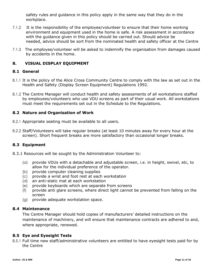safety rules and guidance in this policy apply in the same way that they do in the workplace.

- 7.1.2 It is the responsibility of the employee/volunteer to ensure that their home working environment and equipment used in the home is safe. A risk assessment in accordance with the guidance given in this policy should be carried out. Should advice be needed, advice should be sort from the nominated health and safety officer at the Centre
- 7.1.3 The employee/volunteer will be asked to indemnify the organisation from damages caused by accidents in the home.

# **8. VISUAL DISPLAY EQUIPMENT**

#### **8.1 General**

- 8.1.1 It is the policy of the Alice Cross Community Centre to comply with the law as set out in the Health and Safety (Display Screen Equipment) Regulations 1992.
- 8.1.2 The Centre Manager will conduct health and safety assessments of all workstations staffed by employees/volunteers who use VDU screens as part of their usual work. All workstations must meet the requirements set out in the Schedule to the Regulations.

#### **8.2 Nature and Organisation of Work**

- 8.2.1 Appropriate seating must be available to all users.
- 8.2.2 Staff/Volunteers will take regular breaks (at least 10 minutes away for every hour at the screen). Short frequent breaks are more satisfactory than occasional longer breaks.

#### **8.3 Equipment**

- 8.3.1 Resources will be sought by the Administration Volunteer to:
	- (a) provide VDUs with a detachable and adjustable screen, i.e. in height, swivel, etc, to allow for the individual preference of the operator.
	- (b) provide computer cleaning supplies
	- (c) provide a wrist and foot rest at each workstation
	- (d) an anti-static mat at each workstation
	- (e) provide keyboards which are separate from screens
	- (f) provide anti glare screens, where direct light cannot be prevented from falling on the screen
	- (g) provide adequate workstation space.

#### **8.4 Maintenance**

The Centre Manager should hold copies of manufacturers' detailed instructions on the maintenance of machinery, and will ensure that maintenance contracts are adhered to and, where appropriate, renewed.

#### **8.5 Eye and Eyesight Tests**

8.5.1 Full time new staff/administrative volunteers are entitled to have eyesight tests paid for by the Centre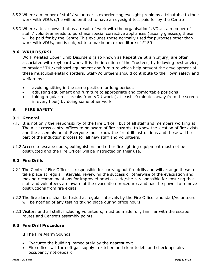- 8.5.2 Where a member of staff / volunteer is experiencing eyesight problems attributable to their work with VDUs s/he will be entitled to have an eyesight test paid for by the Centre
- 8.5.3 Where a test shows that as a result of work with the organisation's VDUs, a member of staff / volunteer needs to purchase special corrective appliances (usually glasses), these will be paid for by the Centre This excludes those normally used for purposes other than work with VDUs, and is subject to a maximum expenditure of £150

#### **8.6 WRULDS/RSI**

Work Related Upper Limb Disorders (also known as Repetitive Strain Injury) are often associated with keyboard work. It is the intention of the Trustees, by following best advice, to provide VDU/keyboard equipment and furniture which help prevent the development of these musculoskeletal disorders. Staff/Volunteers should contribute to their own safety and welfare by:

- avoiding sitting in the same position for long periods
- adjusting equipment and furniture to appropriate and comfortable positions
- taking regular rest breaks from VDU work ( at least 10 minutes away from the screen in every hour) by doing some other work.

# **9. FIRE SAFETY**

#### **9.1 General**

- 9.1.1 It is not only the responsibility of the Fire Officer, but of all staff and members working at The Alice cross centre offices to be aware of fire hazards, to know the location of fire exists and the assembly point. Everyone must know the fire drill instructions and these will be part of the induction process for all new staff and volunteers.
- 9.1.2 Access to escape doors, extinguishers and other fire fighting equipment must not be obstructed and the Fire Officer will be instructed on their use.

#### **9.2 Fire Drills**

- 9.2.1 The Centres' Fire Officer is responsible for carrying out fire drills and will arrange these to take place at regular intervals, reviewing the success or otherwise of the evacuation and making recommendations for improved practices. He/she is responsible for ensuring that staff and volunteers are aware of the evacuation procedures and has the power to remove obstructions from fire exists.
- 9.2.2 The fire alarms shall be tested at regular intervals by the Fire Officer and staff/volunteers will be notified of any testing taking place during office hours.
- 9.2.3 Visitors and all staff, including volunteers, must be made fully familiar with the escape routes and Centre's assembly points.

#### **9.3 Fire Drill Procedure**

If The Fire Alarm Sounds

- Evacuate the building immediately by the nearest exit
- Fire officer will turn off gas supply in kitchen and clear toilets and check upstairs occupancy noticeboard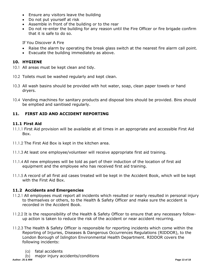- Ensure any visitors leave the building
- Do not put yourself at risk
- Assemble in front of the building or to the rear
- Do not re-enter the building for any reason until the Fire Officer or fire brigade confirm that it is safe to do so.

If You Discover A Fire

- Raise the alarm by operating the break glass switch at the nearest fire alarm call point.
- Evacuate the building immediately as above.

# **10. HYGIENE**

- 10.1 All areas must be kept clean and tidy.
- 10.2 Toilets must be washed regularly and kept clean.
- 10.3 All wash basins should be provided with hot water, soap, clean paper towels or hand dryers.
- 10.4 Vending machines for sanitary products and disposal bins should be provided. Bins should be emptied and sanitised regularly.

# **11. FIRST AID AND ACCIDENT REPORTING**

# **11.1 First Aid**

- 11.1.1 First Aid provision will be available at all times in an appropriate and accessible First Aid Box.
- 11.1.2 The First Aid Box is kept in the kitchen area.
- 11.1.3 At least one employee/volunteer will receive appropriate first aid training.
- 11.1.4 All new employees will be told as part of their induction of the location of first aid equipment and the employee who has received first aid training.
- 11.1.5 A record of all first aid cases treated will be kept in the Accident Book, which will be kept with the First Aid Box.

# **11.2 Accidents and Emergencies**

- 11.2.1 All employees must report all incidents which resulted or nearly resulted in personal injury to themselves or others, to the Health & Safety Officer and make sure the accident is recorded in the Accident Book.
- 11.2.2 It is the responsibility of the Health & Safety Officer to ensure that any necessary followup action is taken to reduce the risk of the accident or near accident recurring.
- 11.2.3 The Health & Safety Officer is responsible for reporting incidents which come within the Reporting of Injuries, Diseases & Dangerous Occurrences Regulations (RIDDOR), to the London Borough of Islington Environmental Health Department. RIDDOR covers the following incidents:
	- (a) fatal accidents
- (b) major injury accidents/conditions<br>Author: JS & MW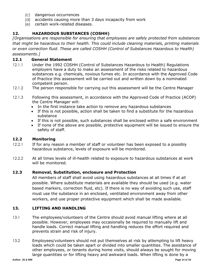- (c) dangerous occurrences
- (d) accidents causing more than 3 days incapacity from work
- (e) certain work-related diseases.

# **12. HAZARDOUS SUBSTANCES (COSHH)**

*[Organisations are responsible for ensuring that employees are safely protected from substances that might be hazardous to their health. This could include cleaning materials, printing materials or even correction fluid. These are called COSHH (Control of Substances Hazardous to Health) assessments.]*

#### **12.1 General Statement**

- 12.1.1 Under the 1992 COSHH (Control of Substances Hazardous to Health) Regulations employers have a duty to make an assessment of the risks related to hazardous substances e.g. chemicals, noxious fumes etc. In accordance with the Approved Code of Practice this assessment will be carried out and written down by a nominated competent person.
- 12.1.2 The person responsible for carrying out this assessment will be the Centre Manager
- 12.1.3 Following this assessment, in accordance with the Approved Code of Practice (ACOP) the Centre Manager will:
	- In the first instance take action to remove any hazardous substances
	- If this is not possible, action shall be taken to find a substitute for the hazardous substance
	- If this is not possible, such substances shall be enclosed within a safe environment
	- If none of the above are possible, protective equipment will be issued to ensure the safety of staff.

#### **12.2 Monitoring**

- 12.2.1 If for any reason a member of staff or volunteer has been exposed to a possibly hazardous substance, levels of exposure will be monitored.
- 12.2.2 At all times levels of ill-health related to exposure to hazardous substances at work will be monitored.

#### **12.3 Removal, Substitution, enclosure and Protection**

All members of staff shall avoid using hazardous substances at all times if at all possible. Where substitute materials are available they should be used (e.g. water based markers, correction fluid, etc). If there is no way of avoiding such use, staff must use the substance in an enclosed, ventilated environment away from other workers, and use proper protective equipment which shall be made available.

#### **13. LIFTING AND HANDLING**

- 13.1 The employees/volunteers of the Centre should avoid manual lifting where at all possible. However, employees may occasionally be required to manually lift and handle loads. Correct manual lifting and handling reduces the effort required and prevents strain and risk of injury.
- 13.2 Employees/volunteers should not put themselves at risk by attempting to lift heavy loads which could be taken apart or divided into smaller quantities. The assistance of other employees, or tenants during home visits, should always be sought for moving large quantities or for lifting heavy and awkward loads. When lifting is done by a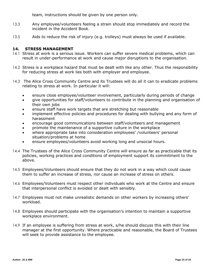team, instructions should be given by one person only.

- 13.3 Any employee/volunteers feeling a strain should stop immediately and record the incident in the Accident Book.
- 13.5 Aids to reduce the risk of injury (e.g. trolleys) must always be used if available.

#### **14. STRESS MANAGEMENT**

- 14.1 Stress at work is a serious issue. Workers can suffer severe medical problems, which can result in under-performance at work and cause major disruptions to the organisation.
- 14.2 Stress is a workplace hazard that must be dealt with like any other. Thus the responsibility for reducing stress at work lies both with employer and employee.
- 14.3 The Alice Cross Community Centre and its Trustees will do all it can to eradicate problems relating to stress at work. In particular it will:
	- ensure close employee/volunteer involvement, particularly during periods of change
	- give opportunities for staff/volunteers to contribute in the planning and organisation of their own jobs
	- ensure staff have work targets that are stretching but reasonable
	- implement effective policies and procedures for dealing with bullying and any form of harassment
	- encourage good communications between staff/volunteers and management
	- promote the maintenance of a supportive culture in the workplace
	- where appropriate take into consideration employees' /volunteers' personal situation/problems at home
	- ensure employees/volunteers avoid working long and unsocial hours.
- 14.4 The Trustees of the Alice Cross Community Centre will ensure as far as practicable that its policies, working practices and conditions of employment support its commitment to the above.
- 14.5 Employees/Volunteers should ensure that they do not work in a way which could cause them to suffer an increase of stress, nor cause an increase of stress on others.
- 14.6 Employees/Volunteers must respect other individuals who work at the Centre and ensure that interpersonal conflict is avoided or dealt with sensibly.
- 14.7 Employees must not make unrealistic demands on other workers by increasing others' workload.
- 14.8 Employees should participate with the organisation's intention to maintain a supportive workplace environment.
- 14.9 If an employee is suffering from stress at work, s/he should discuss this with their line manager at the first opportunity. Where practicable and reasonable, the Board of Trustees will seek to provide assistance to the employee.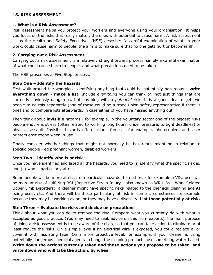# **15. RISK ASSESSMENT**

#### **1. What is a Risk Assessment?**

Risk assessment helps you protect your workers and everyone using your organisation. It helps you focus on the risks that really matter, the ones with potential to cause harm. A risk assessment is, as the Health and Safety Executive (HSE) describe: "a careful examination of what, in your work, could cause harm to people, the aim is to make sure that no one gets hurt or becomes ill".

#### **2. Carrying out a Risk Assessment:**

Carrying out a risk assessment is a relatively straightforward process, simply a careful examination of what could cause harm to people, and what precautions need to be taken.

The HSE proscribes a 'Five Step' process:

#### **Step One – Identify the hazards**

First walk around the workplace identifying anything that could be potentially hazardous - **write everything down - make a list.** Include *everything* you can think of: not just things that are currently obviously dangerous, but anything with a *potential* risk. It is a good idea to get two people to do this separately (one of these could be a trade union safety representative if there is one) and to compare lists afterwards, in case either of you have missed anything out.

Then think about **invisible** hazards - for example, in the voluntary sector one of the biggest risks people endure is stress (often related to working long hours, under pressure, to tight deadlines) or physical assault. Invisible hazards often include fumes - for example, photocopiers and laser printers emit ozone when in use.

Finally consider whether things that might not normally be hazardous might be in relation to specific people - eg pregnant women, disabled workers.

#### **Step Two – identify who is at risk**

Once you have identified and listed all the hazards, you need to (i) identify what the specific risk is, and (ii) who is particularly at risk.

Some people will be more at risk from particular hazards than others - for example a VDU user will be more at risk of suffering RSI (Repetitive Strain Injury - also known as WRULDs - Work Related Upper Limb Disorders), a cleaner might have specific risks related to the chemical cleaning agents being used, etc. And there will be those particularly at risk in some circumstances for example because they may be working alone, or they may have a disability. **List those potentially at risk.**

#### **Step Three – Evaluate the risks and decide on precautions**

Think about what you can do to remove the risk. Compare what you currently do with what is accepted as good practice. (You may need to seek advice on this from experts) The main purpose of doing a risk assessment is to be aware of the risks, so that you can take action to eliminate or at least reduce the risks. On a simple level if an electrical wire is exposed, you could replace it, or cover it with insulating tape. On a more proactive level, for example, if your cleaner is using potentially dangerous chemical agents - change the cleaning product - use something water-based. **Write down the actions currently taken and those actions you propose to be taken, and write down who will take the action, by when.**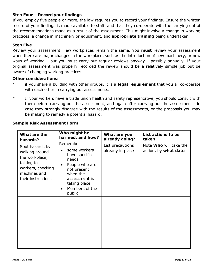# **Step Four – Record your findings**

If you employ five people or more, the law requires you to record your findings. Ensure the written record of your findings is made available to staff, and that they co-operate with the carrying out of the recommendations made as a result of the assessment. This might involve a change in working practices, a change in machinery or equipment, and **appropriate training** being undertaken.

# **Step Five**

Review your assessment. Few workplaces remain the same. You **must** review your assessment when there are major changes in the workplace, such as the introduction of new machinery, or new ways of working - but you must carry out regular reviews anyway - possibly annually. If your original assessment was properly recorded the review should be a relatively simple job but be aware of changing working practices.

#### **Other considerations:**

- \* if you share a building with other groups, it is a **legal requirement** that you all co-operate with each other in carrying out assessments.
- \* If your workers have a trade union health and safety representative, you should consult with them before carrying out the assessment, and again after carrying out the assessment - in case they strongly disagree with the results of the assessments, or the proposals you may be making to remedy a potential hazard.

| What are the<br>hazards?<br>Spot hazards by<br>walking around<br>the workplace,<br>talking to<br>workers, checking<br>machines and<br>their instructions | Who might be<br>harmed, and how?<br>Remember:<br>some workers<br>have specific<br>needs<br>People who are<br>٠<br>not present<br>when the<br>assessment is<br>taking place<br>Members of the<br>$\bullet$<br>public | What are you<br>already doing?<br>List precautions<br>already in place | List actions to be<br>taken<br>Note Who will take the<br>action, by what date |
|----------------------------------------------------------------------------------------------------------------------------------------------------------|---------------------------------------------------------------------------------------------------------------------------------------------------------------------------------------------------------------------|------------------------------------------------------------------------|-------------------------------------------------------------------------------|
|                                                                                                                                                          |                                                                                                                                                                                                                     |                                                                        |                                                                               |

# **Sample Risk Assessment Form**